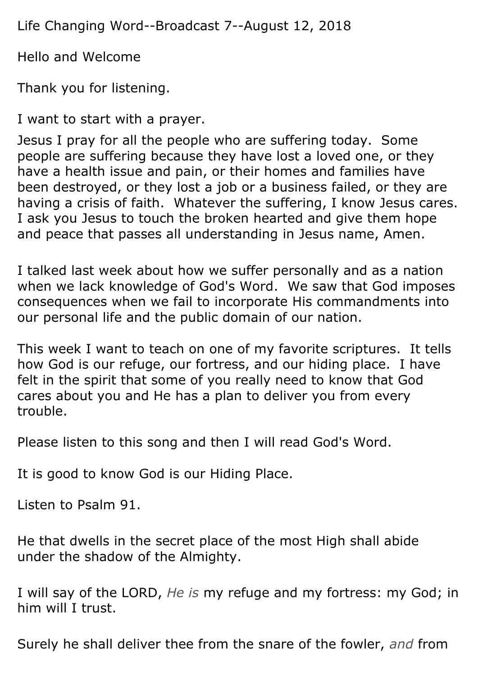Life Changing Word--Broadcast 7--August 12, 2018

Hello and Welcome

Thank you for listening.

I want to start with a prayer.

Jesus I pray for all the people who are suffering today. Some people are suffering because they have lost a loved one, or they have a health issue and pain, or their homes and families have been destroyed, or they lost a job or a business failed, or they are having a crisis of faith. Whatever the suffering, I know Jesus cares. I ask you Jesus to touch the broken hearted and give them hope and peace that passes all understanding in Jesus name, Amen.

I talked last week about how we suffer personally and as a nation when we lack knowledge of God's Word. We saw that God imposes consequences when we fail to incorporate His commandments into our personal life and the public domain of our nation.

This week I want to teach on one of my favorite scriptures. It tells how God is our refuge, our fortress, and our hiding place. I have felt in the spirit that some of you really need to know that God cares about you and He has a plan to deliver you from every trouble.

Please listen to this song and then I will read God's Word.

It is good to know God is our Hiding Place.

Listen to Psalm 91.

He that dwells in the secret place of the most High shall abide under the shadow of the Almighty.

I will say of the LORD, *He is* my refuge and my fortress: my God; in him will I trust.

Surely he shall deliver thee from the snare of the fowler, *and* from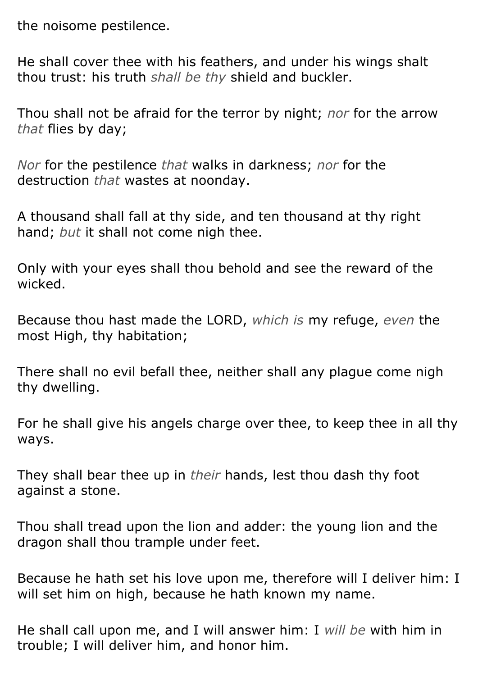the noisome pestilence.

He shall cover thee with his feathers, and under his wings shalt thou trust: his truth *shall be thy* shield and buckler.

Thou shall not be afraid for the terror by night; *nor* for the arrow *that* flies by day;

*Nor* for the pestilence *that* walks in darkness; *nor* for the destruction *that* wastes at noonday.

A thousand shall fall at thy side, and ten thousand at thy right hand; *but* it shall not come nigh thee.

Only with your eyes shall thou behold and see the reward of the wicked.

Because thou hast made the LORD, *which is* my refuge, *even* the most High, thy habitation;

There shall no evil befall thee, neither shall any plague come nigh thy dwelling.

For he shall give his angels charge over thee, to keep thee in all thy ways.

They shall bear thee up in *their* hands, lest thou dash thy foot against a stone.

Thou shall tread upon the lion and adder: the young lion and the dragon shall thou trample under feet.

Because he hath set his love upon me, therefore will I deliver him: I will set him on high, because he hath known my name.

He shall call upon me, and I will answer him: I *will be* with him in trouble; I will deliver him, and honor him.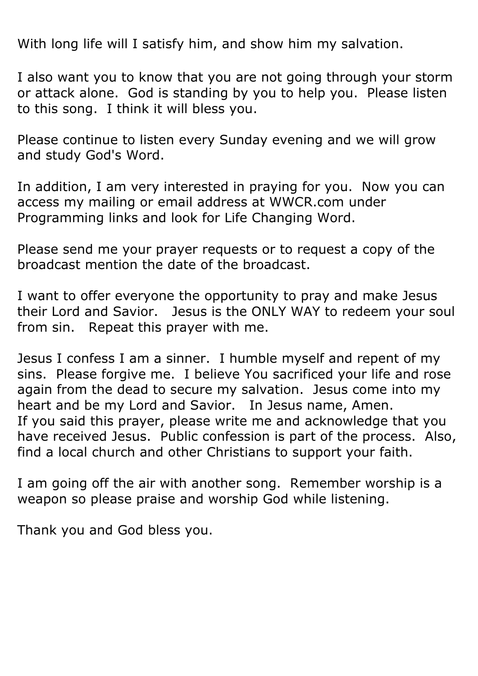With long life will I satisfy him, and show him my salvation.

I also want you to know that you are not going through your storm or attack alone. God is standing by you to help you. Please listen to this song. I think it will bless you.

Please continue to listen every Sunday evening and we will grow and study God's Word.

In addition, I am very interested in praying for you. Now you can access my mailing or email address at WWCR.com under Programming links and look for Life Changing Word.

Please send me your prayer requests or to request a copy of the broadcast mention the date of the broadcast.

I want to offer everyone the opportunity to pray and make Jesus their Lord and Savior. Jesus is the ONLY WAY to redeem your soul from sin. Repeat this prayer with me.

Jesus I confess I am a sinner. I humble myself and repent of my sins. Please forgive me. I believe You sacrificed your life and rose again from the dead to secure my salvation. Jesus come into my heart and be my Lord and Savior. In Jesus name, Amen. If you said this prayer, please write me and acknowledge that you have received Jesus. Public confession is part of the process. Also, find a local church and other Christians to support your faith.

I am going off the air with another song. Remember worship is a weapon so please praise and worship God while listening.

Thank you and God bless you.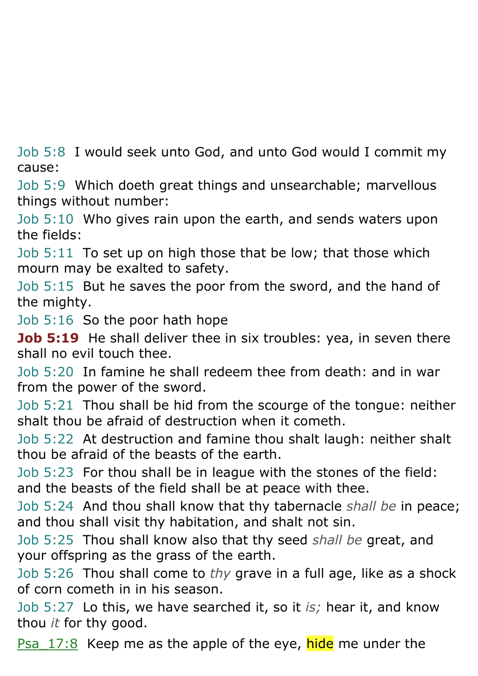Job 5:8 I would seek unto God, and unto God would I commit my cause:

Job 5:9 Which doeth great things and unsearchable; marvellous things without number:

Job 5:10 Who gives rain upon the earth, and sends waters upon the fields:

Job 5:11 To set up on high those that be low; that those which mourn may be exalted to safety.

Job 5:15 But he saves the poor from the sword, and the hand of the mighty.

Job 5:16 So the poor hath hope

**Job 5:19** He shall deliver thee in six troubles: yea, in seven there shall no evil touch thee.

Job 5:20 In famine he shall redeem thee from death: and in war from the power of the sword.

Job 5:21 Thou shall be hid from the scourge of the tongue: neither shalt thou be afraid of destruction when it cometh.

Job 5:22 At destruction and famine thou shalt laugh: neither shalt thou be afraid of the beasts of the earth.

Job 5:23 For thou shall be in league with the stones of the field: and the beasts of the field shall be at peace with thee.

Job 5:24 And thou shall know that thy tabernacle *shall be* in peace; and thou shall visit thy habitation, and shalt not sin.

Job 5:25 Thou shall know also that thy seed *shall be* great, and your offspring as the grass of the earth.

Job 5:26 Thou shall come to *thy* grave in a full age, like as a shock of corn cometh in in his season.

Job 5:27 Lo this, we have searched it, so it *is;* hear it, and know thou *it* for thy good.

Psa 17:8 Keep me as the apple of the eye, hide me under the